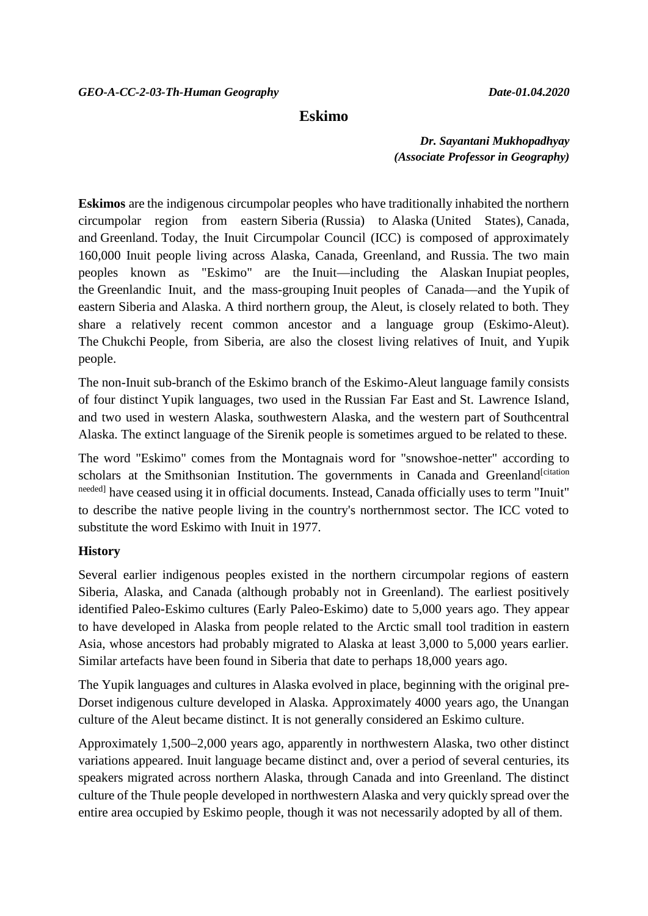## **Eskimo**

*Dr. Sayantani Mukhopadhyay (Associate Professor in Geography)*

**Eskimos** are the indigenous circumpolar peoples who have traditionally inhabited the northern circumpolar region from eastern Siberia (Russia) to Alaska (United States), Canada, and Greenland. Today, the Inuit Circumpolar Council (ICC) is composed of approximately 160,000 Inuit people living across Alaska, Canada, Greenland, and Russia. The two main peoples known as "Eskimo" are the Inuit—including the Alaskan Inupiat peoples, the Greenlandic Inuit, and the mass-grouping Inuit peoples of Canada—and the Yupik of eastern Siberia and Alaska. A third northern group, the Aleut, is closely related to both. They share a relatively recent common ancestor and a language group (Eskimo-Aleut). The Chukchi People, from Siberia, are also the closest living relatives of Inuit, and Yupik people.

The non-Inuit sub-branch of the Eskimo branch of the Eskimo-Aleut language family consists of four distinct Yupik languages, two used in the Russian Far East and St. Lawrence Island, and two used in western Alaska, southwestern Alaska, and the western part of Southcentral Alaska. The extinct language of the Sirenik people is sometimes argued to be related to these.

The word "Eskimo" comes from the Montagnais word for "snowshoe-netter" according to scholars at the Smithsonian Institution. The governments in Canada and Greenland<sup>[citation</sup>] needed] have ceased using it in official documents. Instead, Canada officially uses to term "Inuit" to describe the native people living in the country's northernmost sector. The ICC voted to substitute the word Eskimo with Inuit in 1977.

### **History**

Several earlier indigenous peoples existed in the northern circumpolar regions of eastern Siberia, Alaska, and Canada (although probably not in Greenland). The earliest positively identified Paleo-Eskimo cultures (Early Paleo-Eskimo) date to 5,000 years ago. They appear to have developed in Alaska from people related to the Arctic small tool tradition in eastern Asia, whose ancestors had probably migrated to Alaska at least 3,000 to 5,000 years earlier. Similar artefacts have been found in Siberia that date to perhaps 18,000 years ago.

The Yupik languages and cultures in Alaska evolved in place, beginning with the original pre- Dorset indigenous culture developed in Alaska. Approximately 4000 years ago, the Unangan culture of the Aleut became distinct. It is not generally considered an Eskimo culture.

Approximately 1,500–2,000 years ago, apparently in northwestern Alaska, two other distinct variations appeared. Inuit language became distinct and, over a period of several centuries, its speakers migrated across northern Alaska, through Canada and into Greenland. The distinct culture of the Thule people developed in northwestern Alaska and very quickly spread over the entire area occupied by Eskimo people, though it was not necessarily adopted by all of them.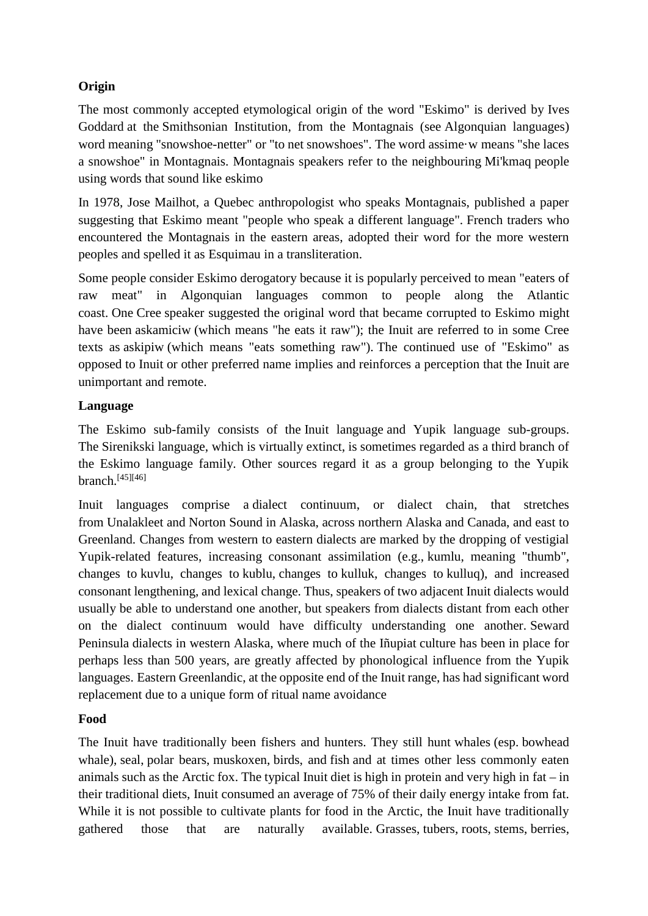# **Origin**

The most commonly accepted etymological origin of the word "Eskimo" is derived by Ives Goddard at the Smithsonian Institution, from the Montagnais (see Algonquian languages) word meaning "snowshoe-netter" or "to net snowshoes". The word assime·w means "she laces a snowshoe" in Montagnais. Montagnais speakers refer to the neighbouring Mi'kmaq people using words that sound like eskimo

In 1978, Jose Mailhot, a Quebec anthropologist who speaks Montagnais, published a paper suggesting that Eskimo meant "people who speak a different language". French traders who encountered the Montagnais in the eastern areas, adopted their word for the more western peoples and spelled it as Esquimau in a transliteration.

Some people consider Eskimo derogatory because it is popularly perceived to mean "eaters of raw meat" in Algonquian languages common to people along the Atlantic coast. One Cree speaker suggested the original word that became corrupted to Eskimo might have been askamiciw (which means "he eats it raw"); the Inuit are referred to in some Cree texts as askipiw (which means "eats something raw"). The continued use of "Eskimo" as opposed to Inuit or other preferred name implies and reinforces a perception that the Inuit are unimportant and remote.

# **Language**

The Eskimo sub-family consists of the Inuit language and Yupik language sub-groups. The Sirenikski language, which is virtually extinct, is sometimes regarded as a third branch of the Eskimo language family. Other sources regard it as a group belonging to the Yupik branch.[45][46]

Inuit languages comprise a dialect continuum, or dialect chain, that stretches from Unalakleet and Norton Sound in Alaska, across northern Alaska and Canada, and east to Greenland. Changes from western to eastern dialects are marked by the dropping of vestigial Yupik-related features, increasing consonant assimilation (e.g., kumlu, meaning "thumb", changes to kuvlu, changes to kublu, changes to kulluk, changes to kulluq), and increased consonant lengthening, and lexical change. Thus, speakers of two adjacent Inuit dialects would usually be able to understand one another, but speakers from dialects distant from each other on the dialect continuum would have difficulty understanding one another. Seward Peninsula dialects in western Alaska, where much of the Iñupiat culture has been in place for perhaps less than 500 years, are greatly affected by phonological influence from the Yupik languages. Eastern Greenlandic, at the opposite end of the Inuit range, has had significant word replacement due to a unique form of ritual name avoidance

# **Food**

The Inuit have traditionally been fishers and hunters. They still hunt whales (esp. bowhead whale), seal, polar bears, muskoxen, birds, and fish and at times other less commonly eaten animals such as the Arctic fox. The typical Inuit diet is high in protein and very high in  $fat - in$ their traditional diets, Inuit consumed an average of 75% of their daily energy intake from fat. While it is not possible to cultivate plants for food in the Arctic, the Inuit have traditionally gathered those that are naturally available. Grasses, tubers, roots, stems, berries,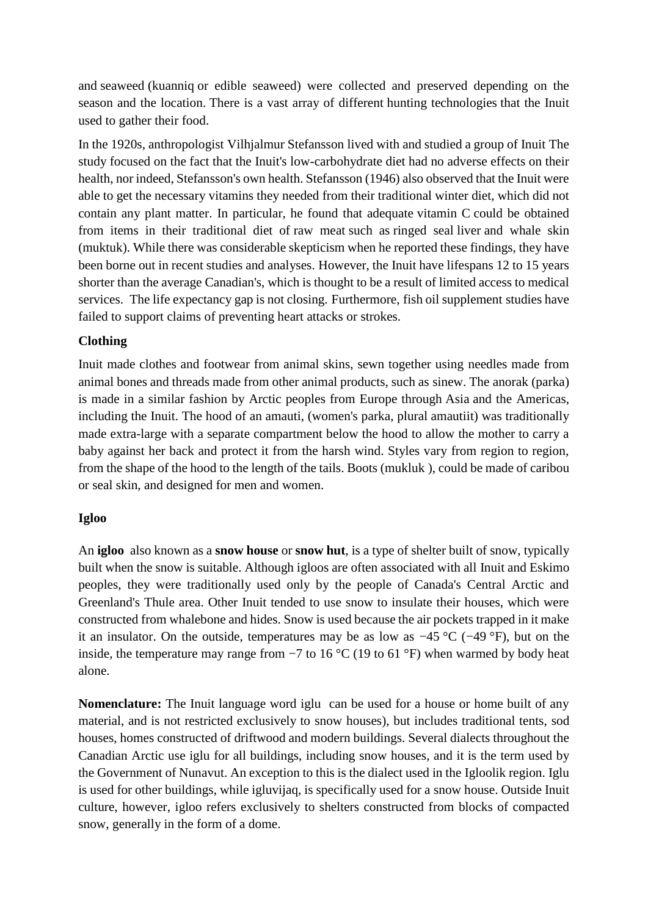and seaweed (kuanniq or edible seaweed) were collected and preserved depending on the season and the location. There is a vast array of different hunting technologies that the Inuit used to gather their food.

In the 1920s, anthropologist Vilhjalmur Stefansson lived with and studied a group of Inuit The study focused on the fact that the Inuit's low-carbohydrate diet had no adverse effects on their health, nor indeed, Stefansson's own health. Stefansson (1946) also observed that the Inuit were able to get the necessary vitamins they needed from their traditional winter diet, which did not contain any plant matter. In particular, he found that adequate vitamin C could be obtained from items in their traditional diet of raw meat such as ringed seal liver and whale skin (muktuk). While there was considerable skepticism when he reported these findings, they have been borne out in recent studies and analyses. However, the Inuit have lifespans 12 to 15 years shorter than the average Canadian's, which is thought to be a result of limited access to medical services. The life expectancy gap is not closing. Furthermore, fish oil supplement studies have failed to support claims of preventing heart attacks or strokes.

### **Clothing**

Inuit made clothes and footwear from animal skins, sewn together using needles made from animal bones and threads made from other animal products, such as sinew. The anorak (parka) is made in a similar fashion by Arctic peoples from Europe through Asia and the Americas, including the Inuit. The hood of an amauti, (women's parka, plural amautiit) was traditionally made extra-large with a separate compartment below the hood to allow the mother to carry a baby against her back and protect it from the harsh wind. Styles vary from region to region, from the shape of the hood to the length of the tails. Boots (mukluk ), could be made of caribou or seal skin, and designed for men and women.

### **Igloo**

An **igloo** also known as a **snow house** or **snow hut**, is a type of shelter built of snow, typically built when the snow is suitable. Although igloos are often associated with all Inuit and Eskimo peoples, they were traditionally used only by the people of Canada's Central Arctic and Greenland's Thule area. Other Inuit tended to use snow to insulate their houses, which were constructed from whalebone and hides. Snow is used because the air pockets trapped in it make it an insulator. On the outside, temperatures may be as low as −45 °C (−49 °F), but on the inside, the temperature may range from −7 to 16 °C (19 to 61 °F) when warmed by body heat alone.

**Nomenclature:** The Inuit language word iglu can be used for a house or home built of any material, and is not restricted exclusively to snow houses), but includes traditional tents, sod houses, homes constructed of driftwood and modern buildings. Several dialects throughout the Canadian Arctic use iglu for all buildings, including snow houses, and it is the term used by the Government of Nunavut. An exception to this is the dialect used in the Igloolik region. Iglu is used for other buildings, while igluvijaq, is specifically used for a snow house. Outside Inuit culture, however, igloo refers exclusively to shelters constructed from blocks of compacted snow, generally in the form of a dome.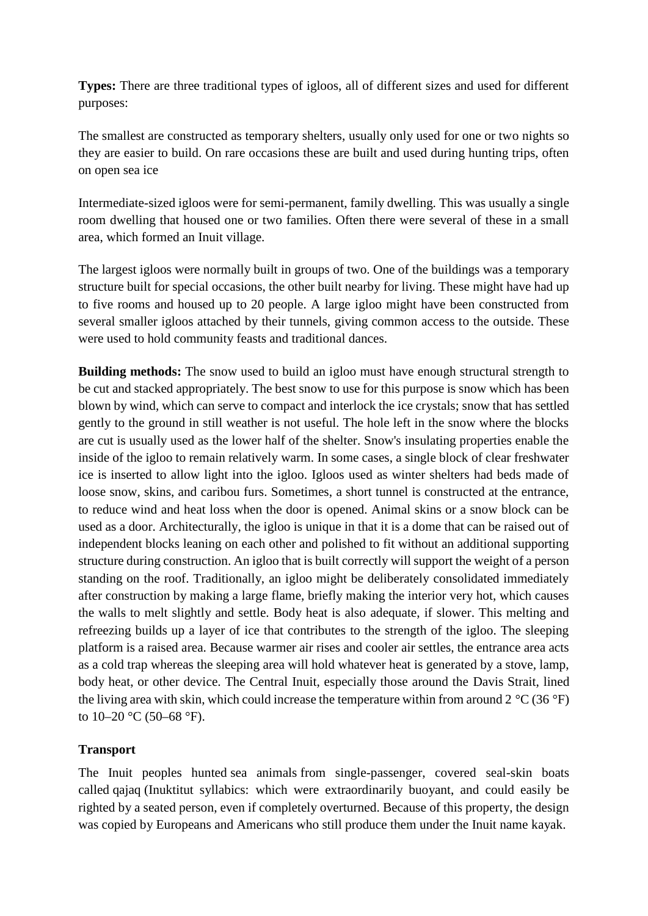**Types:** There are three traditional types of igloos, all of different sizes and used for different purposes:

The smallest are constructed as temporary shelters, usually only used for one or two nights so they are easier to build. On rare occasions these are built and used during hunting trips, often on open sea ice

Intermediate-sized igloos were for semi-permanent, family dwelling. This was usually a single room dwelling that housed one or two families. Often there were several of these in a small area, which formed an Inuit village.

The largest igloos were normally built in groups of two. One of the buildings was a temporary structure built for special occasions, the other built nearby for living. These might have had up to five rooms and housed up to 20 people. A large igloo might have been constructed from several smaller igloos attached by their tunnels, giving common access to the outside. These were used to hold community feasts and traditional dances.

**Building methods:** The snow used to build an igloo must have enough structural strength to be cut and stacked appropriately. The best snow to use for this purpose is snow which has been blown by wind, which can serve to compact and interlock the ice crystals; snow that has settled gently to the ground in still weather is not useful. The hole left in the snow where the blocks are cut is usually used as the lower half of the shelter. Snow's insulating properties enable the inside of the igloo to remain relatively warm. In some cases, a single block of clear freshwater ice is inserted to allow light into the igloo. Igloos used as winter shelters had beds made of loose snow, skins, and caribou furs. Sometimes, a short tunnel is constructed at the entrance, to reduce wind and heat loss when the door is opened. Animal skins or a snow block can be used as a door. Architecturally, the igloo is unique in that it is a dome that can be raised out of independent blocks leaning on each other and polished to fit without an additional supporting structure during construction. An igloo that is built correctly will support the weight of a person standing on the roof. Traditionally, an igloo might be deliberately consolidated immediately after construction by making a large flame, briefly making the interior very hot, which causes the walls to melt slightly and settle. Body heat is also adequate, if slower. This melting and refreezing builds up a layer of ice that contributes to the strength of the igloo. The sleeping platform is a raised area. Because warmer air rises and cooler air settles, the entrance area acts as a cold trap whereas the sleeping area will hold whatever heat is generated by a stove, lamp, body heat, or other device. The Central Inuit, especially those around the Davis Strait, lined the living area with skin, which could increase the temperature within from around  $2^{\circ}C(36^{\circ}F)$ to  $10-20$  °C (50–68 °F).

## **Transport**

The Inuit peoples hunted sea animals from single-passenger, covered seal-skin boats called qajaq (Inuktitut syllabics: which were extraordinarily buoyant, and could easily be righted by a seated person, even if completely overturned. Because of this property, the design was copied by Europeans and Americans who still produce them under the Inuit name kayak.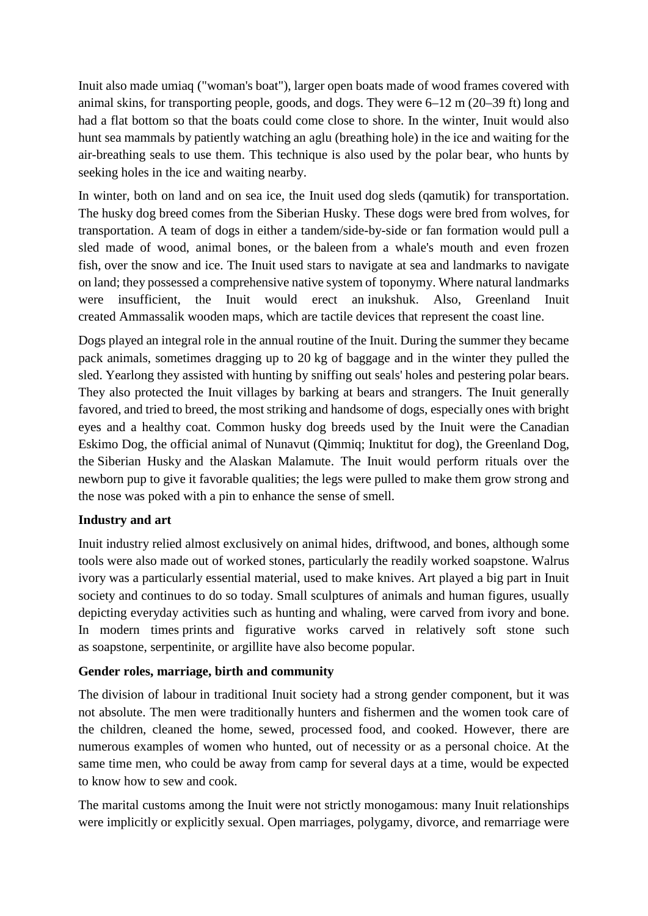Inuit also made umiaq ("woman's boat"), larger open boats made of wood frames covered with animal skins, for transporting people, goods, and dogs. They were 6–12 m (20–39 ft) long and had a flat bottom so that the boats could come close to shore. In the winter, Inuit would also hunt sea mammals by patiently watching an aglu (breathing hole) in the ice and waiting for the air-breathing seals to use them. This technique is also used by the polar bear, who hunts by seeking holes in the ice and waiting nearby.

In winter, both on land and on sea ice, the Inuit used dog sleds (qamutik) for transportation. The husky dog breed comes from the Siberian Husky. These dogs were bred from wolves, for transportation. A team of dogs in either a tandem/side-by-side or fan formation would pull a sled made of wood, animal bones, or the baleen from a whale's mouth and even frozen fish, over the snow and ice. The Inuit used stars to navigate at sea and landmarks to navigate on land; they possessed a comprehensive native system of toponymy. Where natural landmarks were insufficient, the Inuit would erect an inukshuk. Also, Greenland Inuit created Ammassalik wooden maps, which are tactile devices that represent the coast line.

Dogs played an integral role in the annual routine of the Inuit. During the summer they became pack animals, sometimes dragging up to 20 kg of baggage and in the winter they pulled the sled. Yearlong they assisted with hunting by sniffing out seals' holes and pestering polar bears. They also protected the Inuit villages by barking at bears and strangers. The Inuit generally favored, and tried to breed, the most striking and handsome of dogs, especially ones with bright eyes and a healthy coat. Common husky dog breeds used by the Inuit were the Canadian Eskimo Dog, the official animal of Nunavut (Qimmiq; Inuktitut for dog), the Greenland Dog, the Siberian Husky and the Alaskan Malamute. The Inuit would perform rituals over the newborn pup to give it favorable qualities; the legs were pulled to make them grow strong and the nose was poked with a pin to enhance the sense of smell.

## **Industry and art**

Inuit industry relied almost exclusively on animal hides, driftwood, and bones, although some tools were also made out of worked stones, particularly the readily worked soapstone. Walrus ivory was a particularly essential material, used to make knives. Art played a big part in Inuit society and continues to do so today. Small sculptures of animals and human figures, usually depicting everyday activities such as hunting and whaling, were carved from ivory and bone. In modern times prints and figurative works carved in relatively soft stone such as soapstone, serpentinite, or argillite have also become popular.

### **Gender roles, marriage, birth and community**

The division of labour in traditional Inuit society had a strong gender component, but it was not absolute. The men were traditionally hunters and fishermen and the women took care of the children, cleaned the home, sewed, processed food, and cooked. However, there are numerous examples of women who hunted, out of necessity or as a personal choice. At the same time men, who could be away from camp for several days at a time, would be expected to know how to sew and cook.

The marital customs among the Inuit were not strictly monogamous: many Inuit relationships were implicitly or explicitly sexual. Open marriages, polygamy, divorce, and remarriage were